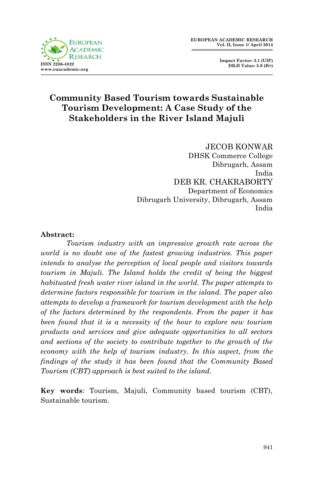

 **Impact Factor: 3.1 (UIF) DRJI Value: 5.9 (B+)**

## **Community Based Tourism towards Sustainable Tourism Development: A Case Study of the Stakeholders in the River Island Majuli**

JECOB KONWAR DHSK Commerce College Dibrugarh, Assam India DEB KR. CHAKRABORTY Department of Economics Dibrugarh University, Dibrugarh, Assam India

#### **Abstract:**

*Tourism industry with an impressive growth rate across the world is no doubt one of the fastest growing industries. This paper intends to analyse the perception of local people and visitors towards tourism in Majuli. The Island holds the credit of being the biggest habituated fresh water river island in the world. The paper attempts to determine factors responsible for tourism in the island. The paper also attempts to develop a framework for tourism development with the help of the factors determined by the respondents. From the paper it has been found that it is a necessity of the hour to explore new tourism products and services and give adequate opportunities to all sectors and sections of the society to contribute together to the growth of the economy with the help of tourism industry. In this aspect, from the findings of the study it has been found that the Community Based Tourism (CBT) approach is best suited to the island.* 

**Key words**: Tourism, Majuli, Community based tourism (CBT), Sustainable tourism.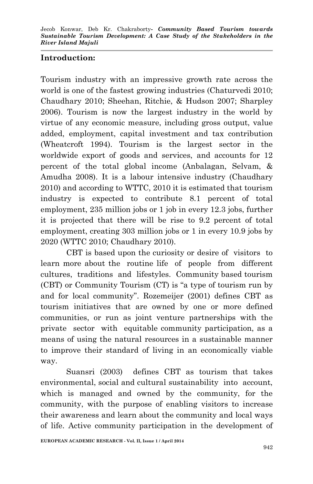## **Introduction:**

Tourism industry with an impressive growth rate across the world is one of the fastest growing industries (Chaturvedi 2010; Chaudhary 2010; Sheehan, Ritchie, & Hudson 2007; Sharpley 2006). Tourism is now the largest industry in the world by virtue of any economic measure, including gross output, value added, employment, capital investment and tax contribution (Wheatcroft 1994). Tourism is the largest sector in the worldwide export of goods and services, and accounts for 12 percent of the total global income (Anbalagan, Selvam, & Amudha 2008). It is a labour intensive industry (Chaudhary 2010) and according to WTTC, 2010 it is estimated that tourism industry is expected to contribute 8.1 percent of total employment, 235 million jobs or 1 job in every 12.3 jobs, further it is projected that there will be rise to 9.2 percent of total employment, creating 303 million jobs or 1 in every 10.9 jobs by 2020 (WTTC 2010; Chaudhary 2010).

CBT is based upon the curiosity or desire of visitors to learn more about the routine life of people from different cultures, traditions and lifestyles. Community based tourism (CBT) or Community Tourism (CT) is "a type of tourism run by and for local community". Rozemeijer (2001) defines CBT as tourism initiatives that are owned by one or more defined communities, or run as joint venture partnerships with the private sector with equitable community participation, as a means of using the natural resources in a sustainable manner to improve their standard of living in an economically viable way.

Suansri (2003) defines CBT as tourism that takes environmental, social and cultural sustainability into account, which is managed and owned by the community, for the community, with the purpose of enabling visitors to increase their awareness and learn about the community and local ways of life. Active community participation in the development of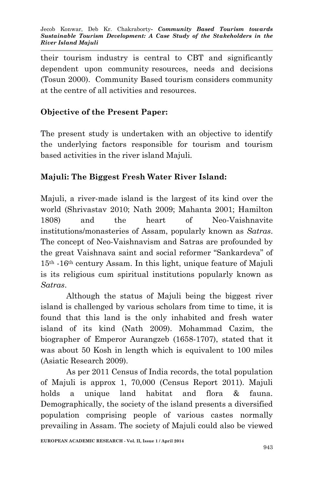their tourism industry is central to CBT and significantly dependent upon community resources, needs and decisions (Tosun 2000). Community Based tourism considers community at the centre of all activities and resources.

# **Objective of the Present Paper:**

The present study is undertaken with an objective to identify the underlying factors responsible for tourism and tourism based activities in the river island Majuli.

## **Majuli: The Biggest Fresh Water River Island:**

Majuli, a river-made island is the largest of its kind over the world (Shrivastav 2010; Nath 2009; Mahanta 2001; Hamilton 1808) and the heart of Neo-Vaishnavite institutions/monasteries of Assam, popularly known as *Satras*. The concept of Neo-Vaishnavism and Satras are profounded by the great Vaishnava saint and social reformer "Sankardeva" of 15th -16th century Assam. In this light, unique feature of Majuli is its religious cum spiritual institutions popularly known as *Satras*.

Although the status of Majuli being the biggest river island is challenged by various scholars from time to time, it is found that this land is the only inhabited and fresh water island of its kind (Nath 2009). Mohammad Cazim, the biographer of Emperor Aurangzeb (1658-1707), stated that it was about 50 Kosh in length which is equivalent to 100 miles (Asiatic Research 2009).

As per 2011 Census of India records, the total population of Majuli is approx 1, 70,000 (Census Report 2011). Majuli holds a unique land habitat and flora & fauna. Demographically, the society of the island presents a diversified population comprising people of various castes normally prevailing in Assam. The society of Majuli could also be viewed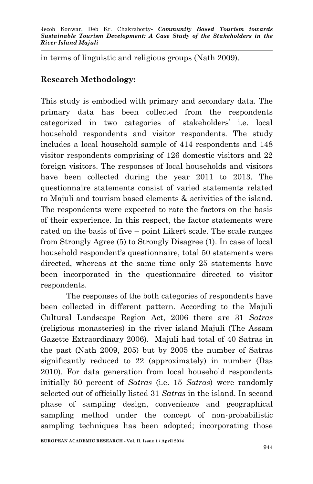in terms of linguistic and religious groups (Nath 2009).

## **Research Methodology:**

This study is embodied with primary and secondary data. The primary data has been collected from the respondents categorized in two categories of stakeholders' i.e. local household respondents and visitor respondents. The study includes a local household sample of 414 respondents and 148 visitor respondents comprising of 126 domestic visitors and 22 foreign visitors. The responses of local households and visitors have been collected during the year 2011 to 2013. The questionnaire statements consist of varied statements related to Majuli and tourism based elements & activities of the island. The respondents were expected to rate the factors on the basis of their experience. In this respect, the factor statements were rated on the basis of five – point Likert scale. The scale ranges from Strongly Agree (5) to Strongly Disagree (1). In case of local household respondent's questionnaire, total 50 statements were directed, whereas at the same time only 25 statements have been incorporated in the questionnaire directed to visitor respondents.

The responses of the both categories of respondents have been collected in different pattern. According to the Majuli Cultural Landscape Region Act, 2006 there are 31 *Satras* (religious monasteries) in the river island Majuli (The Assam Gazette Extraordinary 2006). Majuli had total of 40 Satras in the past (Nath 2009, 205) but by 2005 the number of Satras significantly reduced to 22 (approximately) in number (Das 2010). For data generation from local household respondents initially 50 percent of *Satras* (i.e. 15 *Satras*) were randomly selected out of officially listed 31 *Satras* in the island. In second phase of sampling design, convenience and geographical sampling method under the concept of non-probabilistic sampling techniques has been adopted; incorporating those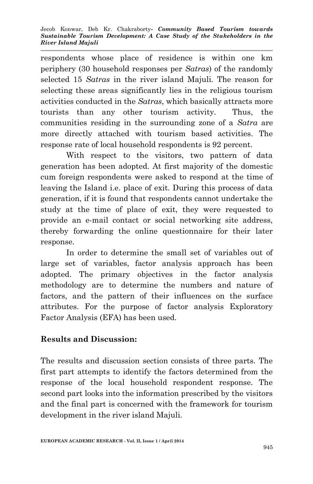respondents whose place of residence is within one km periphery (30 household responses per *Satras*) of the randomly selected 15 *Satras* in the river island Majuli. The reason for selecting these areas significantly lies in the religious tourism activities conducted in the *Satras*, which basically attracts more tourists than any other tourism activity. Thus, the communities residing in the surrounding zone of a *Satra* are more directly attached with tourism based activities. The response rate of local household respondents is 92 percent.

With respect to the visitors, two pattern of data generation has been adopted. At first majority of the domestic cum foreign respondents were asked to respond at the time of leaving the Island i.e. place of exit. During this process of data generation, if it is found that respondents cannot undertake the study at the time of place of exit, they were requested to provide an e-mail contact or social networking site address, thereby forwarding the online questionnaire for their later response.

In order to determine the small set of variables out of large set of variables, factor analysis approach has been adopted. The primary objectives in the factor analysis methodology are to determine the numbers and nature of factors, and the pattern of their influences on the surface attributes. For the purpose of factor analysis Exploratory Factor Analysis (EFA) has been used.

## **Results and Discussion:**

The results and discussion section consists of three parts. The first part attempts to identify the factors determined from the response of the local household respondent response. The second part looks into the information prescribed by the visitors and the final part is concerned with the framework for tourism development in the river island Majuli.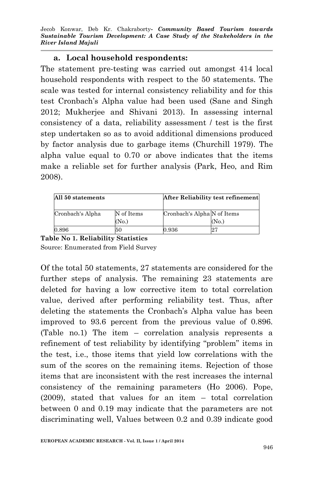Jecob Konwar, Deb Kr. Chakraborty*- Community Based Tourism towards Sustainable Tourism Development: A Case Study of the Stakeholders in the River Island Majuli*

#### **a. Local household respondents:**

The statement pre-testing was carried out amongst 414 local household respondents with respect to the 50 statements. The scale was tested for internal consistency reliability and for this test Cronbach's Alpha value had been used (Sane and Singh 2012; Mukherjee and Shivani 2013). In assessing internal consistency of a data, reliability assessment / test is the first step undertaken so as to avoid additional dimensions produced by factor analysis due to garbage items (Churchill 1979). The alpha value equal to 0.70 or above indicates that the items make a reliable set for further analysis (Park, Heo, and Rim 2008).

| All 50 statements |                                  | After Reliability test refinement |                   |
|-------------------|----------------------------------|-----------------------------------|-------------------|
| Cronbach's Alpha  | N of Items<br>(N <sub>0.</sub> ) | Cronbach's Alpha N of Items       | (N <sub>0</sub> ) |
| 0.896             | 50                               | 0.936                             |                   |

**Table No 1. Reliability Statistics** Source: Enumerated from Field Survey

Of the total 50 statements, 27 statements are considered for the further steps of analysis. The remaining 23 statements are deleted for having a low corrective item to total correlation value, derived after performing reliability test. Thus, after deleting the statements the Cronbach's Alpha value has been improved to 93.6 percent from the previous value of 0.896. (Table no.1) The item – correlation analysis represents a refinement of test reliability by identifying "problem" items in the test, i.e., those items that yield low correlations with the sum of the scores on the remaining items. Rejection of those items that are inconsistent with the rest increases the internal consistency of the remaining parameters (Ho 2006). Pope, (2009), stated that values for an item – total correlation between 0 and 0.19 may indicate that the parameters are not discriminating well, Values between 0.2 and 0.39 indicate good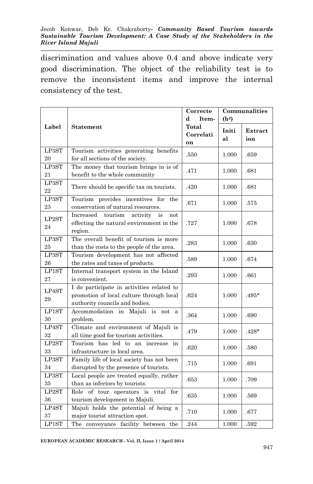#### Jecob Konwar, Deb Kr. Chakraborty*- Community Based Tourism towards Sustainable Tourism Development: A Case Study of the Stakeholders in the River Island Majuli*

discrimination and values above 0.4 and above indicate very good discrimination. The object of the reliability test is to remove the inconsistent items and improve the internal consistency of the test.

|                           |                                                                                                                         | Correcte<br>d<br>Item-   | Communalities<br>(h <sup>2</sup> ) |                |
|---------------------------|-------------------------------------------------------------------------------------------------------------------------|--------------------------|------------------------------------|----------------|
| Label<br><b>Statement</b> |                                                                                                                         | Total<br>Correlati<br>on | Initi<br>al                        | Extract<br>ion |
| LP3ST<br>20               | Tourism activities generating benefits<br>for all sections of the society.                                              | .550                     | 1.000                              | .659           |
| LP3ST<br>21               | The money that tourism brings in is of<br>benefit to the whole community                                                | .471                     | 1.000                              | .681           |
| LP3ST<br>22               | There should be specific tax on tourists.                                                                               | .420                     | 1.000                              | .681           |
| LP3ST<br>23               | Tourism provides incentives for<br>the<br>conservation of natural resources.                                            | .671                     | 1.000                              | .575           |
| LP2ST<br>24               | Increased<br>tourism<br>activity<br>is<br>not<br>effecting the natural environment in the<br>region.                    | .727                     | 1.000                              | .678           |
| LP3ST<br>25               | The overall benefit of tourism is more<br>than the costs to the people of the area.                                     | .283                     | 1.000                              | .630           |
| LP3ST<br>26               | Tourism development has not affected<br>the rates and taxes of products.                                                | .589                     | 1.000                              | .674           |
| LP1ST<br>27               | Internal transport system in the Island<br>is convenient.                                                               | .293                     | 1.000                              | .661           |
| LP4ST<br>29               | I do participate in activities related to<br>promotion of local culture through local<br>authority councils and bodies. | .624                     | 1.000                              | $.495*$        |
| LP1ST<br>30               | Accommodation in Majuli is<br>not<br>a<br>problem.                                                                      | .364                     | 1.000                              | .690           |
| LP4ST<br>32               | Climate and environment of Majuli is<br>all time good for tourism activities.                                           | .479                     | 1.000                              | $.428*$        |
| LP2ST<br>33               | Tourism has led to an increase in<br>infrastructure in local area.                                                      | .620                     | 1.000                              | .580           |
| LP3ST<br>34               | Family life of local society has not been<br>disrupted by the presence of tourists.                                     | .715                     | 1.000                              | .691           |
| LP3ST<br>35               | Local people are treated equally, rather<br>than as inferiors by tourists.                                              | .653                     | 1.000                              | .709           |
| LP2ST<br>36               | Role of tour operators<br>is vital<br>$_{\rm for}$<br>tourism development in Majuli.                                    | .635                     | 1.000                              | .569           |
| LP4ST<br>37               | Majuli holds the potential of being a<br>major tourist attraction spot.                                                 | .710                     | 1.000                              | .677           |
| LP1ST                     | The conveyance facility between the                                                                                     | .244                     | 1.000                              | .592           |

**EUROPEAN ACADEMIC RESEARCH - Vol. II, Issue 1 / April 2014**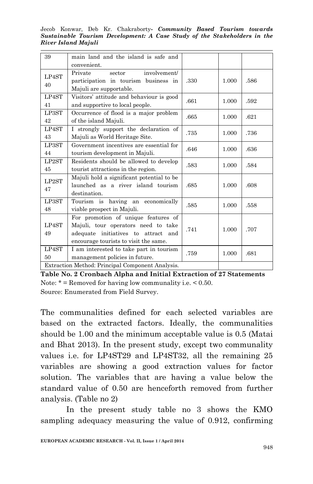| 39          | main land and the island is safe and                                                                                                                       |      |       |      |  |  |
|-------------|------------------------------------------------------------------------------------------------------------------------------------------------------------|------|-------|------|--|--|
|             | convenient.                                                                                                                                                |      |       |      |  |  |
| LP4ST<br>40 | Private<br>involvement/<br>sector<br>participation in tourism business in<br>Majuli are supportable.                                                       | .330 | 1.000 | .586 |  |  |
| LP4ST<br>41 | Visitors' attitude and behaviour is good<br>and supportive to local people.                                                                                | .661 | 1.000 | .592 |  |  |
| LP3ST<br>42 | Occurrence of flood is a major problem<br>of the island Majuli.                                                                                            | .665 | 1.000 | .621 |  |  |
| LP4ST<br>43 | I strongly support the declaration of<br>Majuli as World Heritage Site.                                                                                    | .735 | 1.000 | .736 |  |  |
| LP3ST<br>44 | Government incentives are essential for<br>tourism development in Majuli.                                                                                  | .646 | 1.000 | .636 |  |  |
| LP2ST<br>45 | Residents should be allowed to develop<br>tourist attractions in the region.                                                                               | .583 | 1.000 | .584 |  |  |
| LP2ST<br>47 | Majuli hold a significant potential to be<br>launched as a river island tourism<br>destination.                                                            | .685 | 1.000 | .608 |  |  |
| LP3ST<br>48 | Tourism is having an economically<br>viable prospect in Majuli.                                                                                            | .585 | 1.000 | .558 |  |  |
| LP4ST<br>49 | For promotion of unique features of<br>Majuli, tour operators need to take<br>adequate initiatives to attract and<br>encourage tourists to visit the same. | .741 | 1.000 | .707 |  |  |
| LP4ST<br>50 | I am interested to take part in tourism<br>management policies in future.                                                                                  | .759 | 1.000 | .681 |  |  |
|             | Extraction Method: Principal Component Analysis.                                                                                                           |      |       |      |  |  |

Jecob Konwar, Deb Kr. Chakraborty*- Community Based Tourism towards Sustainable Tourism Development: A Case Study of the Stakeholders in the River Island Majuli*

**Table No. 2 Cronbach Alpha and Initial Extraction of 27 Statements** Note:  $* =$  Removed for having low communality i.e.  $< 0.50$ .

Source: Enumerated from Field Survey.

The communalities defined for each selected variables are based on the extracted factors. Ideally, the communalities should be 1.00 and the minimum acceptable value is 0.5 (Matai and Bhat 2013). In the present study, except two communality values i.e. for LP4ST29 and LP4ST32, all the remaining 25 variables are showing a good extraction values for factor solution. The variables that are having a value below the standard value of 0.50 are henceforth removed from further analysis. (Table no 2)

In the present study table no 3 shows the KMO sampling adequacy measuring the value of 0.912, confirming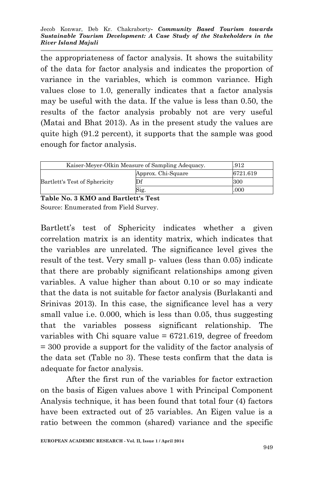the appropriateness of factor analysis. It shows the suitability of the data for factor analysis and indicates the proportion of variance in the variables, which is common variance. High values close to 1.0, generally indicates that a factor analysis may be useful with the data. If the value is less than 0.50, the results of the factor analysis probably not are very useful (Matai and Bhat 2013). As in the present study the values are quite high (91.2 percent), it supports that the sample was good enough for factor analysis.

| Kaiser-Meyer-Olkin Measure of Sampling Adequacy. | .912               |          |
|--------------------------------------------------|--------------------|----------|
|                                                  | Approx. Chi-Square | 6721.619 |
| Bartlett's Test of Sphericity                    | Df                 | 300      |
|                                                  | 51g                | .000     |

**Table No. 3 KMO and Bartlett's Test**

Source: Enumerated from Field Survey.

Bartlett's test of Sphericity indicates whether a given correlation matrix is an identity matrix, which indicates that the variables are unrelated. The significance level gives the result of the test. Very small p- values (less than 0.05) indicate that there are probably significant relationships among given variables. A value higher than about 0.10 or so may indicate that the data is not suitable for factor analysis (Burlakanti and Srinivas 2013). In this case, the significance level has a very small value i.e. 0.000, which is less than 0.05, thus suggesting that the variables possess significant relationship. The variables with Chi square value  $= 6721.619$ , degree of freedom = 300 provide a support for the validity of the factor analysis of the data set (Table no 3). These tests confirm that the data is adequate for factor analysis.

After the first run of the variables for factor extraction on the basis of Eigen values above 1 with Principal Component Analysis technique, it has been found that total four (4) factors have been extracted out of 25 variables. An Eigen value is a ratio between the common (shared) variance and the specific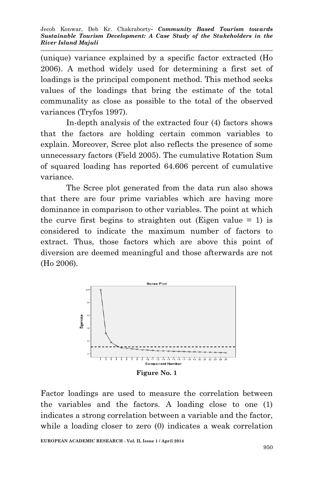(unique) variance explained by a specific factor extracted (Ho 2006). A method widely used for determining a first set of loadings is the principal component method. This method seeks values of the loadings that bring the estimate of the total communality as close as possible to the total of the observed variances (Tryfos 1997).

In-depth analysis of the extracted four (4) factors shows that the factors are holding certain common variables to explain. Moreover, Scree plot also reflects the presence of some unnecessary factors (Field 2005). The cumulative Rotation Sum of squared loading has reported 64.606 percent of cumulative variance.

The Scree plot generated from the data run also shows that there are four prime variables which are having more dominance in comparison to other variables. The point at which the curve first begins to straighten out (Eigen value  $= 1$ ) is considered to indicate the maximum number of factors to extract. Thus, those factors which are above this point of diversion are deemed meaningful and those afterwards are not (Ho 2006).



**Figure No. 1**

Factor loadings are used to measure the correlation between the variables and the factors. A loading close to one (1) indicates a strong correlation between a variable and the factor, while a loading closer to zero (0) indicates a weak correlation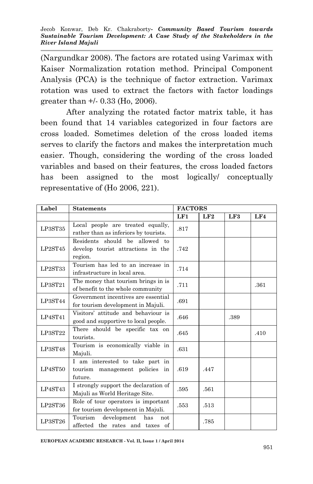(Nargundkar 2008). The factors are rotated using Varimax with Kaiser Normalization rotation method. Principal Component Analysis (PCA) is the technique of factor extraction. Varimax rotation was used to extract the factors with factor loadings greater than +/- 0.33 (Ho, 2006).

After analyzing the rotated factor matrix table, it has been found that 14 variables categorized in four factors are cross loaded. Sometimes deletion of the cross loaded items serves to clarify the factors and makes the interpretation much easier. Though, considering the wording of the cross loaded variables and based on their features, the cross loaded factors has been assigned to the most logically/ conceptually representative of (Ho 2006, 221).

| Label          | <b>Statements</b>                                                               | <b>FACTORS</b> |      |      |      |
|----------------|---------------------------------------------------------------------------------|----------------|------|------|------|
|                |                                                                                 | LF1            | LF2  | LF3  | LF4  |
| LP3ST35        | Local people are treated equally,<br>rather than as inferiors by tourists.      | .817           |      |      |      |
| LP2ST45        | Residents should be allowed to<br>develop tourist attractions in the<br>region. | .742           |      |      |      |
| LP2ST33        | Tourism has led to an increase in<br>infrastructure in local area.              | .714           |      |      |      |
| LP3ST21        | The money that tourism brings in is<br>of benefit to the whole community        | .711           |      |      | .361 |
| <b>LP3ST44</b> | Government incentives are essential<br>for tourism development in Majuli.       | .691           |      |      |      |
| <b>LP4ST41</b> | Visitors' attitude and behaviour is<br>good and supportive to local people.     | .646           |      | .389 |      |
| LP3ST22        | There should be specific tax on<br>tourists.                                    | .645           |      |      | .410 |
| <b>LP3ST48</b> | Tourism is economically viable in<br>Majuli.                                    | .631           |      |      |      |
| LP4ST50        | I am interested to take part in<br>tourism management policies in<br>future.    | .619           | .447 |      |      |
| <b>LP4ST43</b> | I strongly support the declaration of<br>Majuli as World Heritage Site.         | .595           | .561 |      |      |
| LP2ST36        | Role of tour operators is important<br>for tourism development in Majuli.       | .553           | .513 |      |      |
| LP3ST26        | development<br>Tourism<br>has<br>not<br>affected the rates and taxes of         |                | .785 |      |      |

**EUROPEAN ACADEMIC RESEARCH - Vol. II, Issue 1 / April 2014**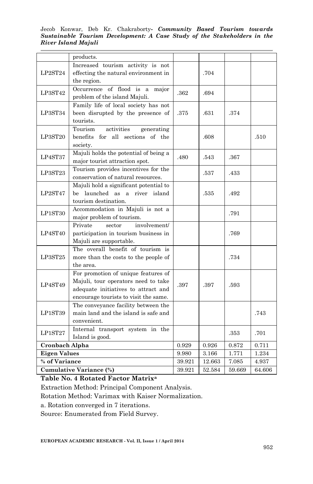Jecob Konwar, Deb Kr. Chakraborty*- Community Based Tourism towards Sustainable Tourism Development: A Case Study of the Stakeholders in the River Island Majuli*

|                         | products.                                                               |        |        |        |        |
|-------------------------|-------------------------------------------------------------------------|--------|--------|--------|--------|
|                         | Increased tourism activity is not                                       |        |        |        |        |
| LP2ST24                 | effecting the natural environment in                                    |        | .704   |        |        |
|                         | the region.                                                             |        |        |        |        |
| LP3ST42                 | Occurrence of flood is a major                                          | .362   | .694   |        |        |
|                         | problem of the island Majuli.                                           |        |        |        |        |
|                         | Family life of local society has not                                    |        |        |        |        |
| <b>LP3ST34</b>          | been disrupted by the presence of                                       | .375   | .631   | .374   |        |
|                         | tourists.                                                               |        |        |        |        |
|                         | Tourism<br>activities<br>generating                                     |        |        |        |        |
| LP3ST20                 | benefits for all sections of the                                        |        | .608   |        | .510   |
|                         | society.                                                                |        |        |        |        |
| LP4ST37                 | Majuli holds the potential of being a                                   | .480   | .543   | .367   |        |
|                         | major tourist attraction spot.                                          |        |        |        |        |
| LP3ST23                 | Tourism provides incentives for the                                     |        | .537   | .433   |        |
|                         | conservation of natural resources.                                      |        |        |        |        |
| <b>LP2ST47</b>          | Majuli hold a significant potential to<br>be launched as a river island |        | .535   | .492   |        |
|                         | tourism destination.                                                    |        |        |        |        |
|                         | Accommodation in Majuli is not a                                        |        |        |        |        |
| LP1ST30                 | major problem of tourism.                                               |        |        | .791   |        |
|                         | Private<br>involvement/<br>sector                                       |        |        |        |        |
| LP4ST40                 | participation in tourism business in                                    |        |        | .769   |        |
|                         | Majuli are supportable.                                                 |        |        |        |        |
|                         | The overall benefit of tourism is                                       |        |        |        |        |
| LP3ST25                 | more than the costs to the people of                                    |        |        | .734   |        |
|                         | the area.                                                               |        |        |        |        |
|                         | For promotion of unique features of                                     |        |        |        |        |
|                         | Majuli, tour operators need to take                                     |        |        | .593   |        |
| <b>LP4ST49</b>          | adequate initiatives to attract and                                     | .397   | .397   |        |        |
|                         | encourage tourists to visit the same.                                   |        |        |        |        |
|                         | The conveyance facility between the                                     |        |        |        |        |
| LP1ST39                 | main land and the island is safe and                                    |        |        |        | .743   |
|                         | convenient.                                                             |        |        |        |        |
| LP1ST27                 | Internal transport system in the                                        |        |        | .353   | .701   |
|                         | Island is good.                                                         |        |        |        |        |
| <b>Cronbach Alpha</b>   |                                                                         | 0.929  | 0.926  | 0.872  | 0.711  |
| <b>Eigen Values</b>     |                                                                         | 9.980  | 3.166  | 1.771  | 1.234  |
| % of Variance           |                                                                         | 39.921 | 12.663 | 7.085  | 4.937  |
| Cumulative Variance (%) |                                                                         | 39.921 | 52.584 | 59.669 | 64.606 |

**Table No. 4 Rotated Factor Matrix<sup>a</sup>**

Extraction Method: Principal Component Analysis.

Rotation Method: Varimax with Kaiser Normalization.

a. Rotation converged in 7 iterations.

Source: Enumerated from Field Survey.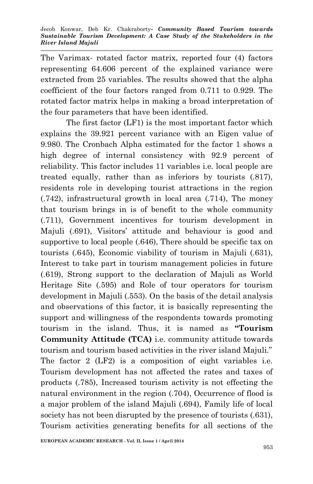The Varimax- rotated factor matrix, reported four (4) factors representing 64.606 percent of the explained variance were extracted from 25 variables. The results showed that the alpha coefficient of the four factors ranged from 0.711 to 0.929. The rotated factor matrix helps in making a broad interpretation of the four parameters that have been identified.

The first factor (LF1) is the most important factor which explains the 39.921 percent variance with an Eigen value of 9.980. The Cronbach Alpha estimated for the factor 1 shows a high degree of internal consistency with 92.9 percent of reliability. This factor includes 11 variables i.e. local people are treated equally, rather than as inferiors by tourists (.817), residents role in developing tourist attractions in the region (.742), infrastructural growth in local area (.714), The money that tourism brings in is of benefit to the whole community (.711), Government incentives for tourism development in Majuli (.691), Visitors' attitude and behaviour is good and supportive to local people (.646), There should be specific tax on tourists (.645), Economic viability of tourism in Majuli (.631), Interest to take part in tourism management policies in future (.619), Strong support to the declaration of Majuli as World Heritage Site (.595) and Role of tour operators for tourism development in Majuli (.553). On the basis of the detail analysis and observations of this factor, it is basically representing the support and willingness of the respondents towards promoting tourism in the island. Thus, it is named as **"Tourism Community Attitude (TCA)** i.e. community attitude towards tourism and tourism based activities in the river island Majuli." The factor 2 (LF2) is a composition of eight variables i.e. Tourism development has not affected the rates and taxes of products (.785), Increased tourism activity is not effecting the natural environment in the region (.704), Occurrence of flood is a major problem of the island Majuli (.694), Family life of local society has not been disrupted by the presence of tourists (.631), Tourism activities generating benefits for all sections of the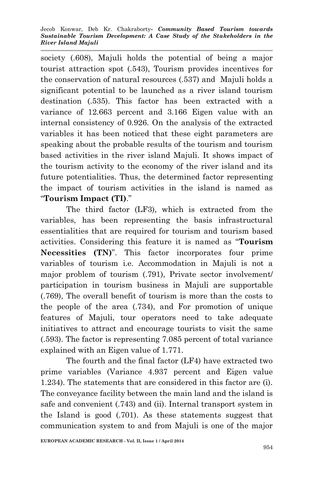Jecob Konwar, Deb Kr. Chakraborty*- Community Based Tourism towards Sustainable Tourism Development: A Case Study of the Stakeholders in the River Island Majuli*

society (.608), Majuli holds the potential of being a major tourist attraction spot (.543), Tourism provides incentives for the conservation of natural resources (.537) and Majuli holds a significant potential to be launched as a river island tourism destination (.535). This factor has been extracted with a variance of 12.663 percent and 3.166 Eigen value with an internal consistency of 0.926. On the analysis of the extracted variables it has been noticed that these eight parameters are speaking about the probable results of the tourism and tourism based activities in the river island Majuli. It shows impact of the tourism activity to the economy of the river island and its future potentialities. Thus, the determined factor representing the impact of tourism activities in the island is named as "**Tourism Impact (TI)**."

The third factor (LF3), which is extracted from the variables, has been representing the basis infrastructural essentialities that are required for tourism and tourism based activities. Considering this feature it is named as "**Tourism Necessities (TN)**". This factor incorporates four prime variables of tourism i.e. Accommodation in Majuli is not a major problem of tourism (.791), Private sector involvement/ participation in tourism business in Majuli are supportable (.769), The overall benefit of tourism is more than the costs to the people of the area (.734), and For promotion of unique features of Majuli, tour operators need to take adequate initiatives to attract and encourage tourists to visit the same (.593). The factor is representing 7.085 percent of total variance explained with an Eigen value of 1.771.

The fourth and the final factor (LF4) have extracted two prime variables (Variance 4.937 percent and Eigen value 1.234). The statements that are considered in this factor are (i). The conveyance facility between the main land and the island is safe and convenient (.743) and (ii). Internal transport system in the Island is good (.701). As these statements suggest that communication system to and from Majuli is one of the major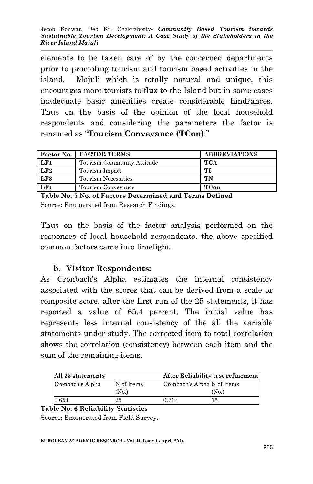Jecob Konwar, Deb Kr. Chakraborty*- Community Based Tourism towards Sustainable Tourism Development: A Case Study of the Stakeholders in the River Island Majuli*

elements to be taken care of by the concerned departments prior to promoting tourism and tourism based activities in the island. Majuli which is totally natural and unique, this encourages more tourists to flux to the Island but in some cases inadequate basic amenities create considerable hindrances. Thus on the basis of the opinion of the local household respondents and considering the parameters the factor is renamed as "**Tourism Conveyance (TCon)**."

|     | <b>Factor No.   FACTOR TERMS</b> | <b>ABBREVIATIONS</b> |
|-----|----------------------------------|----------------------|
| LF1 | Tourism Community Attitude       | <b>TCA</b>           |
| LF2 | Tourism Impact                   | TТ                   |
| LF3 | Tourism Necessities              | TN                   |
| LFA | Tourism Conveyance               | TCon                 |

**Table No. 5 No. of Factors Determined and Terms Defined** Source: Enumerated from Research Findings.

Thus on the basis of the factor analysis performed on the responses of local household respondents, the above specified common factors came into limelight.

## **b. Visitor Respondents:**

As Cronbach's Alpha estimates the internal consistency associated with the scores that can be derived from a scale or composite score, after the first run of the 25 statements, it has reported a value of 65.4 percent. The initial value has represents less internal consistency of the all the variable statements under study. The corrected item to total correlation shows the correlation (consistency) between each item and the sum of the remaining items.

| All 25 statements |                   |       | After Reliability test refinement |
|-------------------|-------------------|-------|-----------------------------------|
| Cronbach's Alpha  | N of Items        |       | Cronbach's Alpha N of Items       |
|                   | (N <sub>0</sub> ) |       | (N <sub>0</sub> )                 |
| 0.654             | 25                | 0.713 | 15                                |

**Table No. 6 Reliability Statistics**

Source: Enumerated from Field Survey.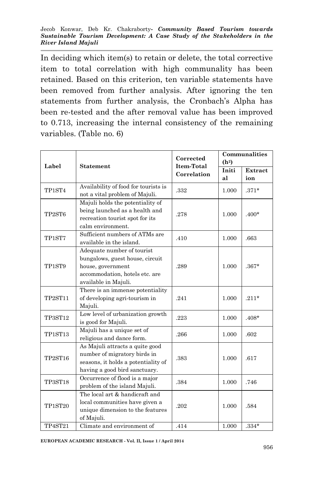In deciding which item(s) to retain or delete, the total corrective item to total correlation with high communality has been retained. Based on this criterion, ten variable statements have been removed from further analysis. After ignoring the ten statements from further analysis, the Cronbach's Alpha has been re-tested and the after removal value has been improved to 0.713, increasing the internal consistency of the remaining variables. (Table no. 6)

|                |                                      | Corrected   | Communalities     |                |
|----------------|--------------------------------------|-------------|-------------------|----------------|
| Label          | <b>Statement</b>                     | Item-Total  | (h <sup>2</sup> ) |                |
|                |                                      | Correlation | Initi<br>al       | Extract<br>ion |
|                | Availability of food for tourists is |             |                   |                |
| TP1ST4         | not a vital problem of Majuli.       | .332        | 1.000             | $.371*$        |
|                | Majuli holds the potentiality of     |             |                   |                |
| TP2ST6         | being launched as a health and       | .278        | 1.000             | $.400*$        |
|                | recreation tourist spot for its      |             |                   |                |
|                | calm environment.                    |             |                   |                |
| TP1ST7         | Sufficient numbers of ATMs are       | .410        | 1.000             | .663           |
|                | available in the island.             |             |                   |                |
|                | Adequate number of tourist           |             |                   |                |
|                | bungalows, guest house, circuit      |             | 1.000             |                |
| TP1ST9         | house, government                    | .289        |                   | $.367^{\star}$ |
|                | accommodation, hotels etc. are       |             |                   |                |
|                | available in Majuli.                 |             |                   |                |
|                | There is an immense potentiality     |             |                   |                |
| TP2ST11        | of developing agri-tourism in        | .241        | 1.000             | $.211*$        |
|                | Majuli.                              |             |                   |                |
| <b>TP3ST12</b> | Low level of urbanization growth     | .223        | 1.000             | $.408*$        |
|                | is good for Majuli.                  |             |                   |                |
| TP1ST13        | Majuli has a unique set of           | .266        | 1.000             | .602           |
|                | religious and dance form.            |             |                   |                |
|                | As Majuli attracts a quite good      |             |                   |                |
| TP2ST16        | number of migratory birds in         | .383        | 1.000             | .617           |
|                | seasons, it holds a potentiality of  |             |                   |                |
|                | having a good bird sanctuary.        |             |                   |                |
| TP3ST18        | Occurrence of flood is a major       | .384        | 1.000             | .746           |
|                | problem of the island Majuli.        |             |                   |                |
|                | The local art & handicraft and       |             |                   |                |
| TP1ST20        | local communities have given a       | .202        | 1.000             | .584           |
|                | unique dimension to the features     |             |                   |                |
|                | of Majuli.                           |             |                   |                |
| <b>TP4ST21</b> | Climate and environment of           | .414        | 1.000             | $.334*$        |

**EUROPEAN ACADEMIC RESEARCH - Vol. II, Issue 1 / April 2014**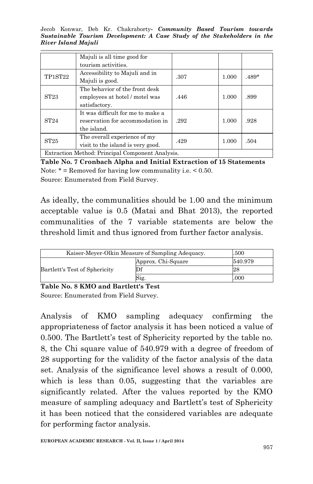Jecob Konwar, Deb Kr. Chakraborty*- Community Based Tourism towards Sustainable Tourism Development: A Case Study of the Stakeholders in the River Island Majuli*

|                                                  | Majuli is all time good for       |      |       |         |
|--------------------------------------------------|-----------------------------------|------|-------|---------|
|                                                  | tourism activities.               |      |       |         |
| TP1ST22                                          | Accessibility to Majuli and in    | .307 | 1.000 | $.489*$ |
|                                                  | Majuli is good.                   |      |       |         |
|                                                  | The behavior of the front desk    |      |       |         |
| ST23                                             | employees at hotel / motel was    | .446 | 1.000 | .899    |
|                                                  | satisfactory.                     |      |       |         |
|                                                  | It was difficult for me to make a |      |       |         |
| ST24                                             | reservation for accommodation in  | .292 | 1.000 | .928    |
|                                                  | the island.                       |      |       |         |
| ST25                                             | The overall experience of my      | .429 | 1.000 | .504    |
|                                                  | visit to the island is very good. |      |       |         |
| Extraction Method: Principal Component Analysis. |                                   |      |       |         |

**Table No. 7 Cronbach Alpha and Initial Extraction of 15 Statements** Note:  $* =$  Removed for having low communality i.e.  $< 0.50$ . Source: Enumerated from Field Survey.

As ideally, the communalities should be 1.00 and the minimum acceptable value is 0.5 (Matai and Bhat 2013), the reported communalities of the 7 variable statements are below the threshold limit and thus ignored from further factor analysis.

|                               | Kaiser-Meyer-Olkin Measure of Sampling Adequacy. | .500    |
|-------------------------------|--------------------------------------------------|---------|
| Bartlett's Test of Sphericity | Approx. Chi-Square                               | 540.979 |
|                               | Df                                               | 28      |
|                               | Sig.                                             | .000    |

**Table No. 8 KMO and Bartlett's Test** Source: Enumerated from Field Survey.

Analysis of KMO sampling adequacy confirming the appropriateness of factor analysis it has been noticed a value of 0.500. The Bartlett's test of Sphericity reported by the table no. 8, the Chi square value of 540.979 with a degree of freedom of 28 supporting for the validity of the factor analysis of the data set. Analysis of the significance level shows a result of 0.000, which is less than 0.05, suggesting that the variables are significantly related. After the values reported by the KMO measure of sampling adequacy and Bartlett's test of Sphericity it has been noticed that the considered variables are adequate for performing factor analysis.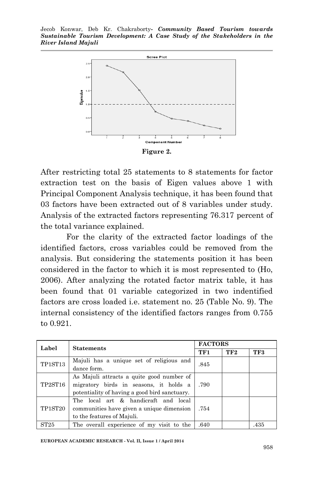Jecob Konwar, Deb Kr. Chakraborty*- Community Based Tourism towards Sustainable Tourism Development: A Case Study of the Stakeholders in the River Island Majuli*



After restricting total 25 statements to 8 statements for factor extraction test on the basis of Eigen values above 1 with Principal Component Analysis technique, it has been found that 03 factors have been extracted out of 8 variables under study. Analysis of the extracted factors representing 76.317 percent of the total variance explained.

For the clarity of the extracted factor loadings of the identified factors, cross variables could be removed from the analysis. But considering the statements position it has been considered in the factor to which it is most represented to (Ho, 2006). After analyzing the rotated factor matrix table, it has been found that 01 variable categorized in two indentified factors are cross loaded i.e. statement no. 25 (Table No. 9). The internal consistency of the identified factors ranges from 0.755 to 0.921.

| Label            | <b>Statements</b>                             | <b>FACTORS</b> |     |      |
|------------------|-----------------------------------------------|----------------|-----|------|
|                  |                                               | TF1            | TF2 | TF3  |
| TP1ST13          | Majuli has a unique set of religious and      | .845           |     |      |
|                  | dance form.                                   |                |     |      |
|                  | As Majuli attracts a quite good number of     |                |     |      |
| TP2ST16          | migratory birds in seasons, it holds a        | .790           |     |      |
|                  | potentiality of having a good bird sanctuary. |                |     |      |
|                  | The local art & handicraft and local          |                |     |      |
| TP1ST20          | communities have given a unique dimension     | .754           |     |      |
|                  | to the features of Majuli.                    |                |     |      |
| ST <sub>25</sub> | The overall experience of my visit to the     | .640           |     | .435 |

**EUROPEAN ACADEMIC RESEARCH - Vol. II, Issue 1 / April 2014**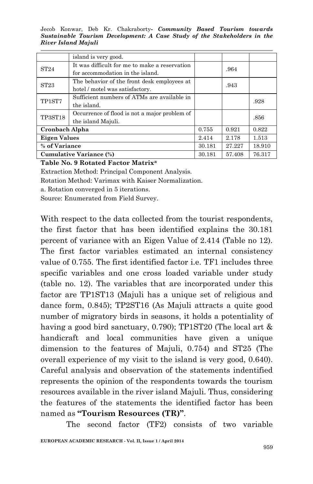Jecob Konwar, Deb Kr. Chakraborty*- Community Based Tourism towards Sustainable Tourism Development: A Case Study of the Stakeholders in the River Island Majuli*

|                         | island is very good.                                                              |        |        |        |
|-------------------------|-----------------------------------------------------------------------------------|--------|--------|--------|
| ST24                    | It was difficult for me to make a reservation<br>for accommodation in the island. |        | .964   |        |
| ST23                    | The behavior of the front desk employees at<br>hotel / motel was satisfactory.    |        | .943   |        |
| TP1ST7                  | Sufficient numbers of ATMs are available in<br>the island.                        |        |        | .928   |
| TP3ST18                 | Occurrence of flood is not a major problem of<br>the island Majuli.               |        |        | .856   |
| Cronbach Alpha          |                                                                                   | 0.755  | 0.921  | 0.822  |
| <b>Eigen Values</b>     |                                                                                   | 2.414  | 2.178  | 1.513  |
| % of Variance           |                                                                                   | 30.181 | 27.227 | 18.910 |
| Cumulative Variance (%) |                                                                                   | 30.181 | 57.408 | 76.317 |

**Table No. 9 Rotated Factor Matrix<sup>a</sup>**

Extraction Method: Principal Component Analysis.

Rotation Method: Varimax with Kaiser Normalization.

a. Rotation converged in 5 iterations.

Source: Enumerated from Field Survey.

With respect to the data collected from the tourist respondents, the first factor that has been identified explains the 30.181 percent of variance with an Eigen Value of 2.414 (Table no 12). The first factor variables estimated an internal consistency value of 0.755. The first identified factor i.e. TF1 includes three specific variables and one cross loaded variable under study (table no. 12). The variables that are incorporated under this factor are TP1ST13 (Majuli has a unique set of religious and dance form, 0.845); TP2ST16 (As Majuli attracts a quite good number of migratory birds in seasons, it holds a potentiality of having a good bird sanctuary, 0.790); TP1ST20 (The local art  $\&$ handicraft and local communities have given a unique dimension to the features of Majuli, 0.754) and ST25 (The overall experience of my visit to the island is very good, 0.640). Careful analysis and observation of the statements indentified represents the opinion of the respondents towards the tourism resources available in the river island Majuli. Thus, considering the features of the statements the identified factor has been named as **"Tourism Resources (TR)"**.

The second factor (TF2) consists of two variable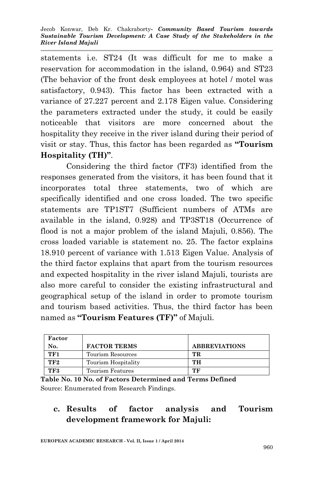statements i.e. ST24 (It was difficult for me to make a reservation for accommodation in the island, 0.964) and ST23 (The behavior of the front desk employees at hotel / motel was satisfactory, 0.943). This factor has been extracted with a variance of 27.227 percent and 2.178 Eigen value. Considering the parameters extracted under the study, it could be easily noticeable that visitors are more concerned about the hospitality they receive in the river island during their period of visit or stay. Thus, this factor has been regarded as **"Tourism Hospitality (TH)"**.

Considering the third factor (TF3) identified from the responses generated from the visitors, it has been found that it incorporates total three statements, two of which are specifically identified and one cross loaded. The two specific statements are TP1ST7 (Sufficient numbers of ATMs are available in the island, 0.928) and TP3ST18 (Occurrence of flood is not a major problem of the island Majuli, 0.856). The cross loaded variable is statement no. 25. The factor explains 18.910 percent of variance with 1.513 Eigen Value. Analysis of the third factor explains that apart from the tourism resources and expected hospitality in the river island Majuli, tourists are also more careful to consider the existing infrastructural and geographical setup of the island in order to promote tourism and tourism based activities. Thus, the third factor has been named as **"Tourism Features (TF)"** of Majuli.

| Factor |                     |                      |
|--------|---------------------|----------------------|
| No.    | <b>FACTOR TERMS</b> | <b>ABBREVIATIONS</b> |
| TF1    | Tourism Resources   | ТR                   |
| TF2    | Tourism Hospitality | тн                   |
| TF3    | Tourism Features    | ТF                   |

**Table No. 10 No. of Factors Determined and Terms Defined** Source: Enumerated from Research Findings.

# **c. Results of factor analysis and Tourism development framework for Majuli:**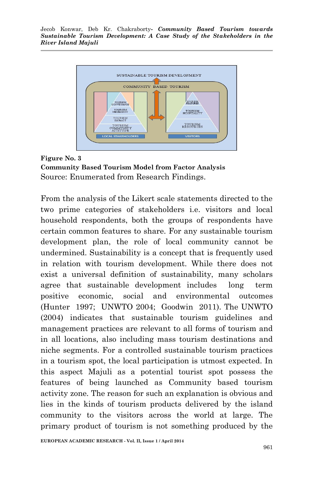

### **Figure No. 3 Community Based Tourism Model from Factor Analysis** Source: Enumerated from Research Findings.

From the analysis of the Likert scale statements directed to the two prime categories of stakeholders i.e. visitors and local household respondents, both the groups of respondents have certain common features to share. For any sustainable tourism development plan, the role of local community cannot be undermined. Sustainability is a concept that is frequently used in relation with tourism development. While there does not exist a universal definition of sustainability, many scholars agree that sustainable development includes long term positive economic, social and environmental outcomes (Hunter 1997; UNWTO 2004; Goodwin 2011). The UNWTO (2004) indicates that sustainable tourism guidelines and management practices are relevant to all forms of tourism and in all locations, also including mass tourism destinations and niche segments. For a controlled sustainable tourism practices in a tourism spot, the local participation is utmost expected. In this aspect Majuli as a potential tourist spot possess the features of being launched as Community based tourism activity zone. The reason for such an explanation is obvious and lies in the kinds of tourism products delivered by the island community to the visitors across the world at large. The primary product of tourism is not something produced by the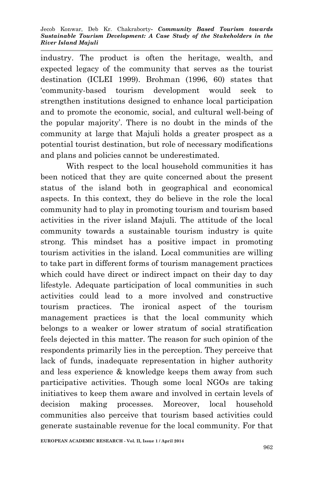industry. The product is often the heritage, wealth, and expected legacy of the community that serves as the tourist destination (ICLEI 1999). Brohman (1996, 60) states that 'community-based tourism development would seek to strengthen institutions designed to enhance local participation and to promote the economic, social, and cultural well-being of the popular majority'. There is no doubt in the minds of the community at large that Majuli holds a greater prospect as a potential tourist destination, but role of necessary modifications and plans and policies cannot be underestimated.

With respect to the local household communities it has been noticed that they are quite concerned about the present status of the island both in geographical and economical aspects. In this context, they do believe in the role the local community had to play in promoting tourism and tourism based activities in the river island Majuli. The attitude of the local community towards a sustainable tourism industry is quite strong. This mindset has a positive impact in promoting tourism activities in the island. Local communities are willing to take part in different forms of tourism management practices which could have direct or indirect impact on their day to day lifestyle. Adequate participation of local communities in such activities could lead to a more involved and constructive tourism practices. The ironical aspect of the tourism management practices is that the local community which belongs to a weaker or lower stratum of social stratification feels dejected in this matter. The reason for such opinion of the respondents primarily lies in the perception. They perceive that lack of funds, inadequate representation in higher authority and less experience & knowledge keeps them away from such participative activities. Though some local NGOs are taking initiatives to keep them aware and involved in certain levels of decision making processes. Moreover, local household communities also perceive that tourism based activities could generate sustainable revenue for the local community. For that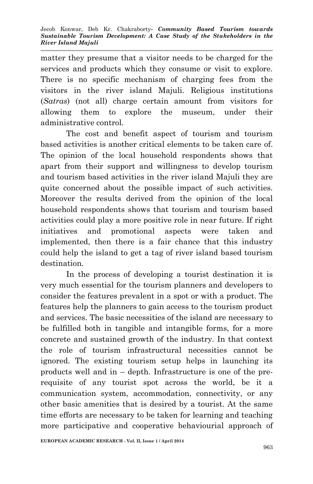matter they presume that a visitor needs to be charged for the services and products which they consume or visit to explore. There is no specific mechanism of charging fees from the visitors in the river island Majuli. Religious institutions (*Satras*) (not all) charge certain amount from visitors for allowing them to explore the museum, under their administrative control.

The cost and benefit aspect of tourism and tourism based activities is another critical elements to be taken care of. The opinion of the local household respondents shows that apart from their support and willingness to develop tourism and tourism based activities in the river island Majuli they are quite concerned about the possible impact of such activities. Moreover the results derived from the opinion of the local household respondents shows that tourism and tourism based activities could play a more positive role in near future. If right initiatives and promotional aspects were taken and implemented, then there is a fair chance that this industry could help the island to get a tag of river island based tourism destination.

In the process of developing a tourist destination it is very much essential for the tourism planners and developers to consider the features prevalent in a spot or with a product. The features help the planners to gain access to the tourism product and services. The basic necessities of the island are necessary to be fulfilled both in tangible and intangible forms, for a more concrete and sustained growth of the industry. In that context the role of tourism infrastructural necessities cannot be ignored. The existing tourism setup helps in launching its products well and in – depth. Infrastructure is one of the prerequisite of any tourist spot across the world, be it a communication system, accommodation, connectivity, or any other basic amenities that is desired by a tourist. At the same time efforts are necessary to be taken for learning and teaching more participative and cooperative behaviourial approach of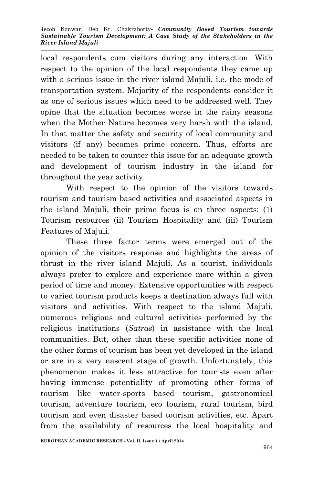local respondents cum visitors during any interaction. With respect to the opinion of the local respondents they came up with a serious issue in the river island Majuli, i.e. the mode of transportation system. Majority of the respondents consider it as one of serious issues which need to be addressed well. They opine that the situation becomes worse in the rainy seasons when the Mother Nature becomes very harsh with the island. In that matter the safety and security of local community and visitors (if any) becomes prime concern. Thus, efforts are needed to be taken to counter this issue for an adequate growth and development of tourism industry in the island for throughout the year activity.

With respect to the opinion of the visitors towards tourism and tourism based activities and associated aspects in the island Majuli, their prime focus is on three aspects: (1) Tourism resources (ii) Tourism Hospitality and (iii) Tourism Features of Majuli.

These three factor terms were emerged out of the opinion of the visitors response and highlights the areas of thrust in the river island Majuli. As a tourist, individuals always prefer to explore and experience more within a given period of time and money. Extensive opportunities with respect to varied tourism products keeps a destination always full with visitors and activities. With respect to the island Majuli, numerous religious and cultural activities performed by the religious institutions (*Satras*) in assistance with the local communities. But, other than these specific activities none of the other forms of tourism has been yet developed in the island or are in a very nascent stage of growth. Unfortunately, this phenomenon makes it less attractive for tourists even after having immense potentiality of promoting other forms of tourism like water-sports based tourism, gastronomical tourism, adventure tourism, eco tourism, rural tourism, bird tourism and even disaster based tourism activities, etc. Apart from the availability of resources the local hospitality and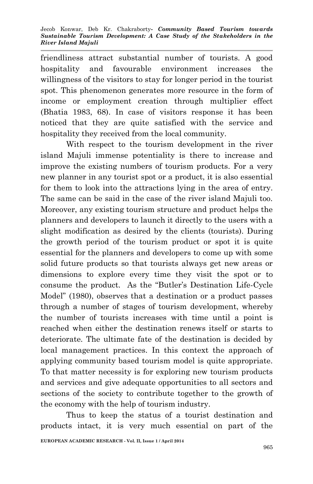friendliness attract substantial number of tourists. A good hospitality and favourable environment increases the willingness of the visitors to stay for longer period in the tourist spot. This phenomenon generates more resource in the form of income or employment creation through multiplier effect (Bhatia 1983, 68). In case of visitors response it has been noticed that they are quite satisfied with the service and hospitality they received from the local community.

With respect to the tourism development in the river island Majuli immense potentiality is there to increase and improve the existing numbers of tourism products. For a very new planner in any tourist spot or a product, it is also essential for them to look into the attractions lying in the area of entry. The same can be said in the case of the river island Majuli too. Moreover, any existing tourism structure and product helps the planners and developers to launch it directly to the users with a slight modification as desired by the clients (tourists). During the growth period of the tourism product or spot it is quite essential for the planners and developers to come up with some solid future products so that tourists always get new areas or dimensions to explore every time they visit the spot or to consume the product. As the "Butler's Destination Life-Cycle Model" (1980), observes that a destination or a product passes through a number of stages of tourism development, whereby the number of tourists increases with time until a point is reached when either the destination renews itself or starts to deteriorate. The ultimate fate of the destination is decided by local management practices. In this context the approach of applying community based tourism model is quite appropriate. To that matter necessity is for exploring new tourism products and services and give adequate opportunities to all sectors and sections of the society to contribute together to the growth of the economy with the help of tourism industry.

Thus to keep the status of a tourist destination and products intact, it is very much essential on part of the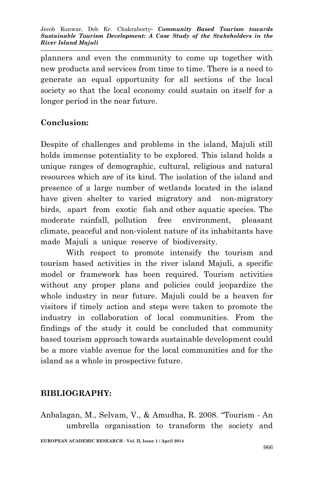planners and even the community to come up together with new products and services from time to time. There is a need to generate an equal opportunity for all sections of the local society so that the local economy could sustain on itself for a longer period in the near future.

## **Conclusion:**

Despite of challenges and problems in the island, Majuli still holds immense potentiality to be explored. This island holds a unique ranges of demographic, cultural, religious and natural resources which are of its kind. The isolation of the island and presence of a large number of wetlands located in the island have given shelter to varied migratory and non-migratory birds, apart from exotic fish and other aquatic species. The moderate rainfall, pollution free environment, pleasant climate, peaceful and non-violent nature of its inhabitants have made Majuli a unique reserve of biodiversity.

With respect to promote intensify the tourism and tourism based activities in the river island Majuli, a specific model or framework has been required. Tourism activities without any proper plans and policies could jeopardize the whole industry in near future. Majuli could be a heaven for visitors if timely action and steps were taken to promote the industry in collaboration of local communities. From the findings of the study it could be concluded that community based tourism approach towards sustainable development could be a more viable avenue for the local communities and for the island as a whole in prospective future.

## **BIBLIOGRAPHY:**

Anbalagan, M., Selvam, V., & Amudha, R. 2008. "Tourism - An umbrella organisation to transform the society and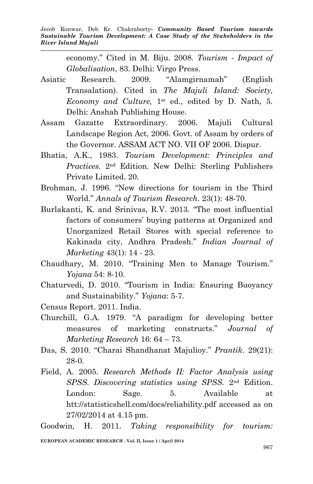economy." Cited in M. Biju. 2008. *Tourism - Impact of Globalisation*, 83. Delhi: Virgo Press.

- Asiatic Research. 2009. "Alamgirnamah" (English Transalation). Cited in *The Majuli Island: Society, Economy and Culture,* 1st ed., edited by D. Nath, 5. Delhi: Anshah Publishing House.
- Assam Gazatte Extraordinary. 2006. Majuli Cultural Landscape Region Act, 2006. Govt. of Assam by orders of the Governor. ASSAM ACT NO. VII OF 2006. Dispur.
- Bhatia, A.K., 1983. *Tourism Development: Principles and Practices.* 2nd Edition. New Delhi: Sterling Publishers Private Limited. 20.
- Brohman, J. 1996. "New directions for tourism in the Third World." *Annals of Tourism Research*. 23(1): 48-70.
- Burlakanti, K. and Srinivas, R.V. 2013. "The most influential factors of consumers' buying patterns at Organized and Unorganized Retail Stores with special reference to Kakinada city, Andhra Pradesh." *Indian Journal of Marketing* 43(1): 14 - 23.
- Chaudhary, M. 2010. "Training Men to Manage Tourism." *Yojana* 54: 8-10.
- Chaturvedi, D. 2010. "Tourism in India: Ensuring Buoyancy and Sustainability." *Yojana*: 5-7.
- Census Report. 2011. India.
- Churchill, G.A. 1979. "A paradigm for developing better measures of marketing constructs." *Journal of Marketing Research* 16: 64 – 73.
- Das, S. 2010. "Charai Shandhanat Majulioy." *Prantik*. 29(21): 28-0.
- Field, A. 2005. *Research Methods II: Factor Analysis using SPSS. Discovering statistics using SPSS.* 2nd Edition. London: Sage. 5. Available at htt://statisticshell.com/docs/reliability.pdf accessed as on 27/02/2014 at 4.15 pm.

Goodwin, H. 2011. *Taking responsibility for tourism:*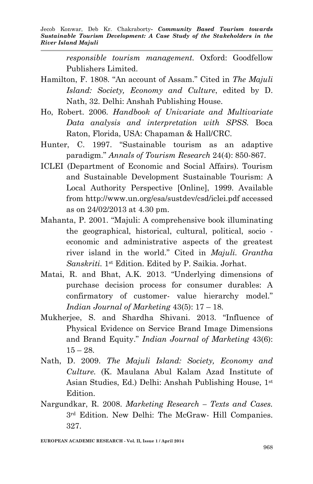*responsible tourism management.* Oxford: Goodfellow Publishers Limited.

- Hamilton, F. 1808. "An account of Assam." Cited in *The Majuli Island: Society, Economy and Culture*, edited by D. Nath, 32. Delhi: Anshah Publishing House.
- Ho, Robert. 2006. *Handbook of Univariate and Multivariate Data analysis and interpretation with SPSS.* Boca Raton, Florida, USA: Chapaman & Hall/CRC.
- Hunter, C. 1997. "Sustainable tourism as an adaptive paradigm." *Annals of Tourism Research* 24(4): 850-867.
- ICLEI (Department of Economic and Social Affairs). Tourism and Sustainable Development Sustainable Tourism: A Local Authority Perspective [Online], 1999. Available from http://www.un.org/esa/sustdev/csd/iclei.pdf accessed as on 24/02/2013 at 4.30 pm.
- Mahanta, P. 2001. "Majuli: A comprehensive book illuminating the geographical, historical, cultural, political, socio economic and administrative aspects of the greatest river island in the world." Cited in *Majuli. Grantha Sanskriti.* 1st Edition. Edited by P. Saikia. Jorhat.
- Matai, R. and Bhat, A.K. 2013. "Underlying dimensions of purchase decision process for consumer durables: A confirmatory of customer- value hierarchy model." *Indian Journal of Marketing* 43(5): 17 – 18.
- Mukherjee, S. and Shardha Shivani. 2013. "Influence of Physical Evidence on Service Brand Image Dimensions and Brand Equity." *Indian Journal of Marketing* 43(6):  $15 - 28.$
- Nath, D. 2009. *The Majuli Island: Society, Economy and Culture.* (K. Maulana Abul Kalam Azad Institute of Asian Studies, Ed.) Delhi: Anshah Publishing House, 1st Edition.
- Nargundkar, R. 2008. *Marketing Research – Texts and Cases.* 3rd Edition. New Delhi: The McGraw- Hill Companies. 327.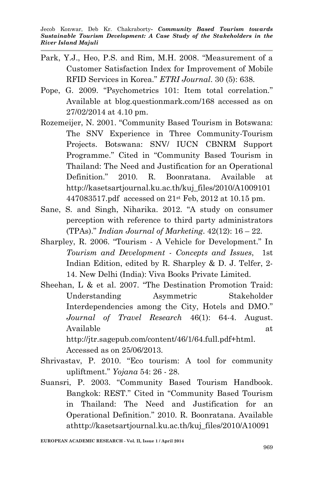- Park, Y.J., Heo, P.S. and Rim, M.H. 2008. "Measurement of a Customer Satisfaction Index for Improvement of Mobile RFID Services in Korea." *ETRI Journal*. 30 (5): 638.
- Pope, G. 2009. "Psychometrics 101: Item total correlation." Available at blog.questionmark.com/168 accessed as on 27/02/2014 at 4.10 pm.
- Rozemeijer, N. 2001. "Community Based Tourism in Botswana: The SNV Experience in Three Community-Tourism Projects. Botswana: SNV/ IUCN CBNRM Support Programme." Cited in "Community Based Tourism in Thailand: The Need and Justification for an Operational Definition." 2010. R. Boonratana. Available at http://kasetsartjournal.ku.ac.th/kuj\_files/2010/A1009101 447083517.pdf accessed on 21st Feb, 2012 at 10.15 pm.
- Sane, S. and Singh, Niharika. 2012. "A study on consumer perception with reference to third party administrators (TPAs)." *Indian Journal of Marketing*. 42(12): 16 – 22.
- Sharpley, R. 2006. "Tourism A Vehicle for Development." In *Tourism and Development - Concepts and Issues*, 1st Indian Edition, edited by R. Sharpley & D. J. Telfer, 2- 14. New Delhi (India): Viva Books Private Limited.
- Sheehan, L & et al. 2007. "The Destination Promotion Traid: Understanding Asymmetric Stakeholder Interdependencies among the City, Hotels and DMO." *Journal of Travel Research* 46(1): 64-4. August. Available at a state of  $\alpha$  at a state of  $\alpha$ http://jtr.sagepub.com/content/46/1/64.full.pdf+html. Accessed as on 25/06/2013.
- Shrivastav, P. 2010. "Eco tourism: A tool for community upliftment." *Yojana* 54: 26 - 28.
- Suansri, P. 2003. "Community Based Tourism Handbook. Bangkok: REST." Cited in "Community Based Tourism in Thailand: The Need and Justification for an Operational Definition." 2010. R. Boonratana. Available athttp://kasetsartjournal.ku.ac.th/kuj\_files/2010/A10091